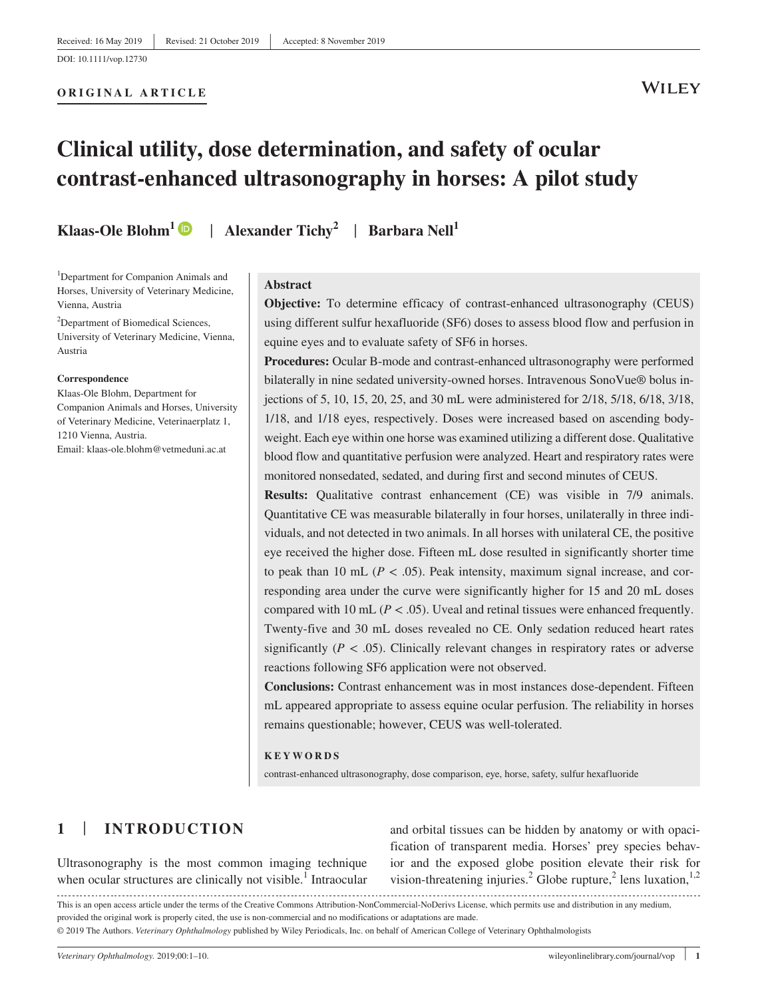# **ORIGINAL ARTICLE**

# **WILEY**

# **Clinical utility, dose determination, and safety of ocular contrast-enhanced ultrasonography in horses: A pilot study**

**Klaas-Ole Blohm[1](https://orcid.org/0000-0002-2475-7740)** | **Alexander Tichy<sup>2</sup>** | **Barbara Nell1**

<sup>1</sup>Department for Companion Animals and Horses, University of Veterinary Medicine, Vienna, Austria

<sup>2</sup>Department of Biomedical Sciences, University of Veterinary Medicine, Vienna, Austria

#### **Correspondence**

Klaas-Ole Blohm, Department for Companion Animals and Horses, University of Veterinary Medicine, Veterinaerplatz 1, 1210 Vienna, Austria. Email: [klaas-ole.blohm@vetmeduni.ac.at](mailto:klaas-ole.blohm@vetmeduni.ac.at)

#### **Abstract**

**Objective:** To determine efficacy of contrast-enhanced ultrasonography (CEUS) using different sulfur hexafluoride (SF6) doses to assess blood flow and perfusion in equine eyes and to evaluate safety of SF6 in horses.

Procedures: Ocular B-mode and contrast-enhanced ultrasonography were performed bilaterally in nine sedated university-owned horses. Intravenous SonoVue® bolus injections of 5, 10, 15, 20, 25, and 30 mL were administered for 2/18, 5/18, 6/18, 3/18, 1/18, and 1/18 eyes, respectively. Doses were increased based on ascending bodyweight. Each eye within one horse was examined utilizing a different dose. Qualitative blood flow and quantitative perfusion were analyzed. Heart and respiratory rates were monitored nonsedated, sedated, and during first and second minutes of CEUS.

**Results:** Qualitative contrast enhancement (CE) was visible in 7/9 animals. Quantitative CE was measurable bilaterally in four horses, unilaterally in three individuals, and not detected in two animals. In all horses with unilateral CE, the positive eye received the higher dose. Fifteen mL dose resulted in significantly shorter time to peak than 10 mL ( $P < .05$ ). Peak intensity, maximum signal increase, and corresponding area under the curve were significantly higher for 15 and 20 mL doses compared with 10 mL ( $P < .05$ ). Uveal and retinal tissues were enhanced frequently. Twenty-five and 30 mL doses revealed no CE. Only sedation reduced heart rates significantly  $(P < .05)$ . Clinically relevant changes in respiratory rates or adverse reactions following SF6 application were not observed.

**Conclusions:** Contrast enhancement was in most instances dose-dependent. Fifteen mL appeared appropriate to assess equine ocular perfusion. The reliability in horses remains questionable; however, CEUS was well-tolerated.

#### **KEYWORDS**

contrast-enhanced ultrasonography, dose comparison, eye, horse, safety, sulfur hexafluoride

# **1** | **INTRODUCTION**

Ultrasonography is the most common imaging technique when ocular structures are clinically not visible.<sup>1</sup> Intraocular and orbital tissues can be hidden by anatomy or with opacification of transparent media. Horses' prey species behavior and the exposed globe position elevate their risk for vision-threatening injuries.<sup>2</sup> Globe rupture,<sup>2</sup> lens luxation,<sup>1,2</sup>

This is an open access article under the terms of the [Creative Commons Attribution-NonCommercial-NoDerivs](http://creativecommons.org/licenses/by-nc-nd/4.0/) License, which permits use and distribution in any medium, provided the original work is properly cited, the use is non-commercial and no modifications or adaptations are made.

© 2019 The Authors. *Veterinary Ophthalmology* published by Wiley Periodicals, Inc. on behalf of American College of Veterinary Ophthalmologists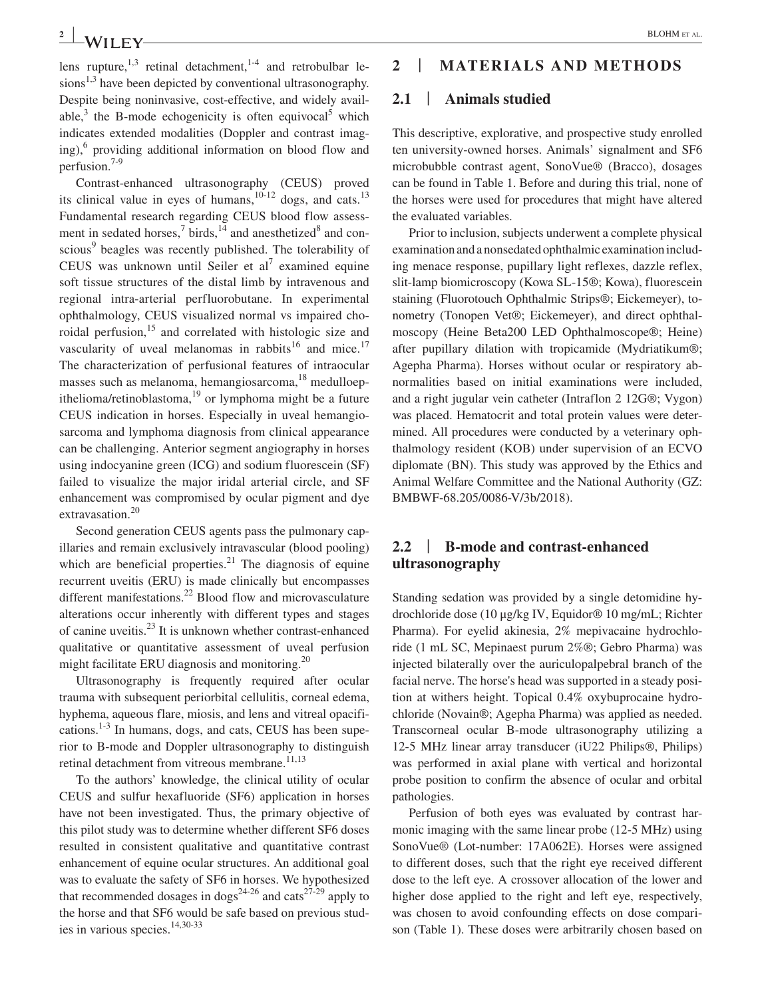**2 WII FV** 

lens rupture, $1,3$  retinal detachment, $1-4$  and retrobulbar lesions<sup>1,3</sup> have been depicted by conventional ultrasonography. Despite being noninvasive, cost-effective, and widely available, $3$  the B-mode echogenicity is often equivocal<sup>5</sup> which indicates extended modalities (Doppler and contrast imaging),<sup>6</sup> providing additional information on blood flow and perfusion.7-9

Contrast-enhanced ultrasonography (CEUS) proved its clinical value in eyes of humans, $10^{-12}$  dogs, and cats.<sup>13</sup> Fundamental research regarding CEUS blood flow assessment in sedated horses, $\frac{7}{14}$  and anesthetized<sup>8</sup> and conscious<sup>9</sup> beagles was recently published. The tolerability of CEUS was unknown until Seiler et al<sup>7</sup> examined equine soft tissue structures of the distal limb by intravenous and regional intra-arterial perfluorobutane. In experimental ophthalmology, CEUS visualized normal vs impaired choroidal perfusion,<sup>15</sup> and correlated with histologic size and vascularity of uveal melanomas in rabbits<sup>16</sup> and mice.<sup>17</sup> The characterization of perfusional features of intraocular masses such as melanoma, hemangiosarcoma, $^{18}$  medulloepithelioma/retinoblastoma, $19$  or lymphoma might be a future CEUS indication in horses. Especially in uveal hemangiosarcoma and lymphoma diagnosis from clinical appearance can be challenging. Anterior segment angiography in horses using indocyanine green (ICG) and sodium fluorescein (SF) failed to visualize the major iridal arterial circle, and SF enhancement was compromised by ocular pigment and dye extravasation.<sup>20</sup>

Second generation CEUS agents pass the pulmonary capillaries and remain exclusively intravascular (blood pooling) which are beneficial properties. $^{21}$  The diagnosis of equine recurrent uveitis (ERU) is made clinically but encompasses different manifestations.<sup>22</sup> Blood flow and microvasculature alterations occur inherently with different types and stages of canine uveitis.23 It is unknown whether contrast-enhanced qualitative or quantitative assessment of uveal perfusion might facilitate ERU diagnosis and monitoring. $^{20}$ 

Ultrasonography is frequently required after ocular trauma with subsequent periorbital cellulitis, corneal edema, hyphema, aqueous flare, miosis, and lens and vitreal opacifications.<sup>1-3</sup> In humans, dogs, and cats, CEUS has been superior to B-mode and Doppler ultrasonography to distinguish retinal detachment from vitreous membrane.<sup>11,13</sup>

To the authors' knowledge, the clinical utility of ocular CEUS and sulfur hexafluoride (SF6) application in horses have not been investigated. Thus, the primary objective of this pilot study was to determine whether different SF6 doses resulted in consistent qualitative and quantitative contrast enhancement of equine ocular structures. An additional goal was to evaluate the safety of SF6 in horses. We hypothesized that recommended dosages in dogs<sup>24-26</sup> and cats<sup>27-29</sup> apply to the horse and that SF6 would be safe based on previous studies in various species.<sup>14,30-33</sup>

# **2** | **MATERIALS AND METHODS**

#### **2.1** | **Animals studied**

This descriptive, explorative, and prospective study enrolled ten university-owned horses. Animals' signalment and SF6 microbubble contrast agent, SonoVue® (Bracco), dosages can be found in Table 1. Before and during this trial, none of the horses were used for procedures that might have altered the evaluated variables.

Prior to inclusion, subjects underwent a complete physical examination and a nonsedated ophthalmic examination including menace response, pupillary light reflexes, dazzle reflex, slit-lamp biomicroscopy (Kowa SL-15®; Kowa), fluorescein staining (Fluorotouch Ophthalmic Strips®; Eickemeyer), tonometry (Tonopen Vet®; Eickemeyer), and direct ophthalmoscopy (Heine Beta200 LED Ophthalmoscope®; Heine) after pupillary dilation with tropicamide (Mydriatikum®; Agepha Pharma). Horses without ocular or respiratory abnormalities based on initial examinations were included, and a right jugular vein catheter (Intraflon 2 12G®; Vygon) was placed. Hematocrit and total protein values were determined. All procedures were conducted by a veterinary ophthalmology resident (KOB) under supervision of an ECVO diplomate (BN). This study was approved by the Ethics and Animal Welfare Committee and the National Authority (GZ: BMBWF-68.205/0086-V/3b/2018).

### **2.2** | **B-mode and contrast-enhanced ultrasonography**

Standing sedation was provided by a single detomidine hydrochloride dose (10 μg/kg IV, Equidor® 10 mg/mL; Richter Pharma). For eyelid akinesia, 2% mepivacaine hydrochloride (1 mL SC, Mepinaest purum 2%®; Gebro Pharma) was injected bilaterally over the auriculopalpebral branch of the facial nerve. The horse's head was supported in a steady position at withers height. Topical 0.4% oxybuprocaine hydrochloride (Novain®; Agepha Pharma) was applied as needed. Transcorneal ocular B-mode ultrasonography utilizing a 12-5 MHz linear array transducer (iU22 Philips®, Philips) was performed in axial plane with vertical and horizontal probe position to confirm the absence of ocular and orbital pathologies.

Perfusion of both eyes was evaluated by contrast harmonic imaging with the same linear probe (12-5 MHz) using SonoVue® (Lot-number: 17A062E). Horses were assigned to different doses, such that the right eye received different dose to the left eye. A crossover allocation of the lower and higher dose applied to the right and left eye, respectively, was chosen to avoid confounding effects on dose comparison (Table 1). These doses were arbitrarily chosen based on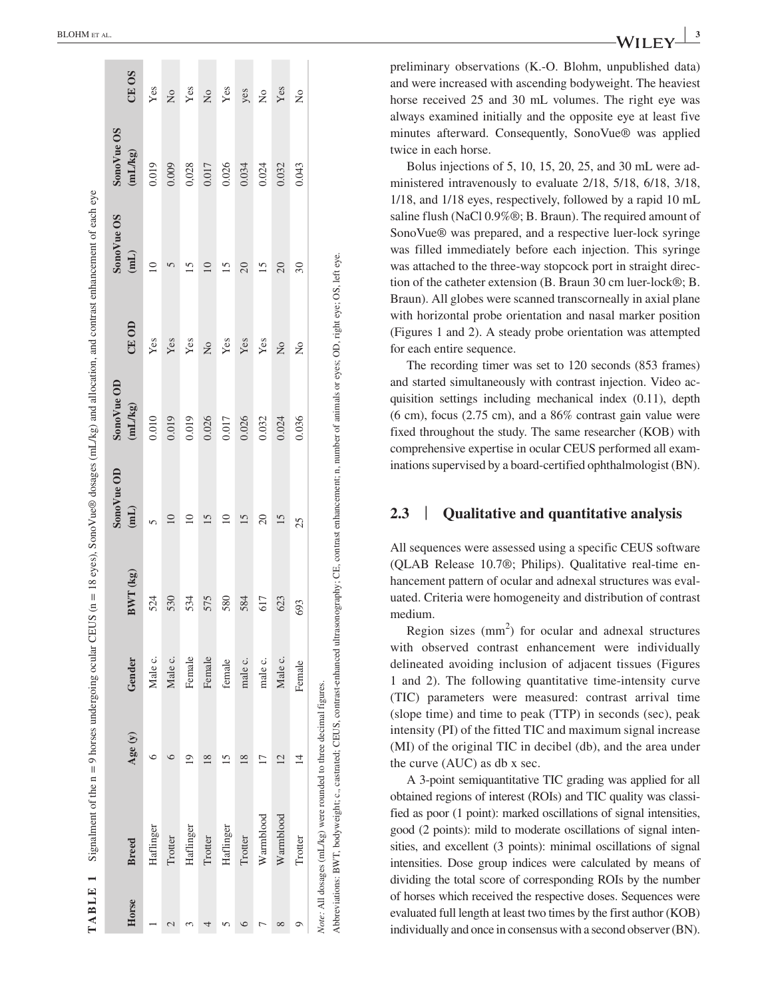|       | TABLE 1 Signalment of the $n = 9$ horses undergoing ocular CEUS ( $n = 18$ eyes), SonoVue® dosages ( $mL/kg$ ) and allocation, and contrast enhancement of each eye          |                          |         |          |                 |             |                |                 |            |                  |
|-------|------------------------------------------------------------------------------------------------------------------------------------------------------------------------------|--------------------------|---------|----------|-----------------|-------------|----------------|-----------------|------------|------------------|
|       |                                                                                                                                                                              |                          |         |          | SonoVue OD      | Sono Vue OD |                | SonoVue OS      | SonoVue OS |                  |
| Horse | <b>Breed</b>                                                                                                                                                                 | Age(y)                   | Gender  | BWT (kg) | (iml)           | (mL/kg)     | CE OD          | (iml)           | (mL/kg)    | CE <sub>OS</sub> |
|       | Haflinger                                                                                                                                                                    |                          | Male c. | 524      |                 | 0.010       | Yes            | $\supseteq$     | 0.019      | Yes              |
|       | Trotter                                                                                                                                                                      |                          | Male c. | 530      | $\overline{10}$ | 0.019       | Yes            |                 | 0.009      | $\frac{1}{2}$    |
|       | Haflinger                                                                                                                                                                    | σ                        | Female  | 534      | $\supseteq$     | 0.019       | Yes            |                 | 0,028      | Yes              |
|       | Trotter                                                                                                                                                                      | ∝                        | Female  | 575      | 15              | 0.026       | $\frac{1}{2}$  | $\overline{10}$ | 0.017      | $\frac{1}{2}$    |
|       | Haflinger                                                                                                                                                                    |                          | female  | 580      | $\supseteq$     | 0.017       | Yes            | <u>ی</u>        | 0.026      | Yes              |
|       | Trotter                                                                                                                                                                      | ∞                        | male c. | 584      | 15              | 0.026       | Yes            | $\overline{20}$ | 0.034      | yes              |
|       | Warmblood                                                                                                                                                                    |                          | male c. | 617      | $\Omega$        | 0.032       | Yes            | 15              | 0.024      | $\tilde{z}$      |
| ∞     | Warmblood                                                                                                                                                                    | $\overline{\mathcal{C}}$ | Male c. | 623      | 15              | 0.024       | $\overline{z}$ | $\overline{20}$ | 0.032      | Yes              |
|       | Trotter                                                                                                                                                                      | $\overline{4}$           | Female  | 693      | 25              | 0.036       | $\frac{1}{2}$  | $30\,$          | 0.043      | $\tilde{z}$      |
|       | Note: All dosages (mL/kg) were rounded to three decimal figures.                                                                                                             |                          |         |          |                 |             |                |                 |            |                  |
|       | Abbreviations: BWT, bodyweight; c., castrated; CEUS, contrast-enhanced ultrasonography; CE, contrast enhancement; n, number of animals or eyes; OD, right eye; OS, left eye. |                          |         |          |                 |             |                |                 |            |                  |

preliminary observations (K.-O. Blohm, unpublished data) and were increased with ascending bodyweight. The heaviest horse received 25 and 30 mL volumes. The right eye was always examined initially and the opposite eye at least five minutes afterward. Consequently, SonoVue® was applied twice in each horse.

Bolus injections of 5, 10, 15, 20, 25, and 30 mL were ad ministered intravenously to evaluate 2/18, 5/18, 6/18, 3/18, 1/18, and 1/18 eyes, respectively, followed by a rapid 10 mL saline flush (NaCl 0.9%®; B. Braun). The required amount of SonoVue® was prepared, and a respective luer-lock syringe was filled immediately before each injection. This syringe was attached to the three-way stopcock port in straight direc tion of the catheter extension (B. Braun 30 cm luer-lock®; B. Braun). All globes were scanned transcorneally in axial plane with horizontal probe orientation and nasal marker position (Figures 1 and 2). A steady probe orientation was attempted for each entire sequence.

The recording timer was set to 120 seconds (853 frames) and started simultaneously with contrast injection. Video ac quisition settings including mechanical index (0.11), depth (6 cm), focus (2.75 cm), and a 86% contrast gain value were fixed throughout the study. The same researcher (KOB) with comprehensive expertise in ocular CEUS performed all exam inations supervised by a board-certified ophthalmologist (BN).

#### **2.3** | **Qualitative and quantitative analysis**

All sequences were assessed using a specific CEUS software (QLAB Release 10.7®; Philips). Qualitative real-time en hancement pattern of ocular and adnexal structures was eval uated. Criteria were homogeneity and distribution of contrast medium.

Region sizes (mm 2 ) for ocular and adnexal structures with observed contrast enhancement were individually delineated avoiding inclusion of adjacent tissues (Figures 1 and 2). The following quantitative time-intensity curve (TIC) parameters were measured: contrast arrival time (slope time) and time to peak (TTP) in seconds (sec), peak intensity (PI) of the fitted TIC and maximum signal increase (MI) of the original TIC in decibel (db), and the area under the curve (AUC) as db x sec.

A 3-point semiquantitative TIC grading was applied for all obtained regions of interest (ROIs) and TIC quality was classi fied as poor (1 point): marked oscillations of signal intensities, good (2 points): mild to moderate oscillations of signal inten sities, and excellent (3 points): minimal oscillations of signal intensities. Dose group indices were calculated by means of dividing the total score of corresponding ROIs by the number of horses which received the respective doses. Sequences were evaluated full length at least two times by the first author (KOB) individually and once in consensus with a second observer (BN).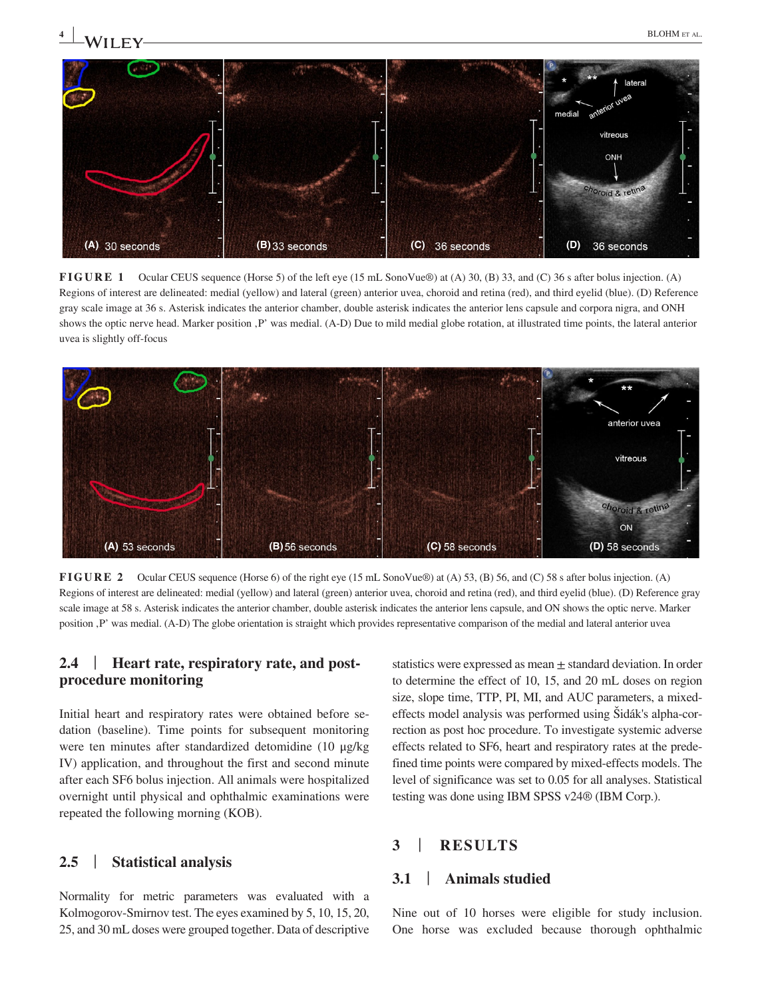

**FIGURE 1** Ocular CEUS sequence (Horse 5) of the left eye (15 mL SonoVue®) at (A) 30, (B) 33, and (C) 36 s after bolus injection. (A) Regions of interest are delineated: medial (yellow) and lateral (green) anterior uvea, choroid and retina (red), and third eyelid (blue). (D) Reference gray scale image at 36 s. Asterisk indicates the anterior chamber, double asterisk indicates the anterior lens capsule and corpora nigra, and ONH shows the optic nerve head. Marker position .P' was medial. (A-D) Due to mild medial globe rotation, at illustrated time points, the lateral anterior uvea is slightly off-focus



**FIGURE 2** Ocular CEUS sequence (Horse 6) of the right eye (15 mL SonoVue®) at (A) 53, (B) 56, and (C) 58 s after bolus injection. (A) Regions of interest are delineated: medial (yellow) and lateral (green) anterior uvea, choroid and retina (red), and third eyelid (blue). (D) Reference gray scale image at 58 s. Asterisk indicates the anterior chamber, double asterisk indicates the anterior lens capsule, and ON shows the optic nerve. Marker position , P' was medial. (A-D) The globe orientation is straight which provides representative comparison of the medial and lateral anterior uvea

## **2.4** | **Heart rate, respiratory rate, and postprocedure monitoring**

Initial heart and respiratory rates were obtained before sedation (baseline). Time points for subsequent monitoring were ten minutes after standardized detomidine (10 μg/kg IV) application, and throughout the first and second minute after each SF6 bolus injection. All animals were hospitalized overnight until physical and ophthalmic examinations were repeated the following morning (KOB).

#### **2.5** | **Statistical analysis**

Normality for metric parameters was evaluated with a Kolmogorov-Smirnov test. The eyes examined by 5, 10, 15, 20, 25, and 30 mL doses were grouped together. Data of descriptive statistics were expressed as mean ± standard deviation. In order to determine the effect of 10, 15, and 20 mL doses on region size, slope time, TTP, PI, MI, and AUC parameters, a mixedeffects model analysis was performed using Šidák's alpha-correction as post hoc procedure. To investigate systemic adverse effects related to SF6, heart and respiratory rates at the predefined time points were compared by mixed-effects models. The level of significance was set to 0.05 for all analyses. Statistical testing was done using IBM SPSS v24® (IBM Corp.).

# **3** | **RESULTS**

# **3.1** | **Animals studied**

Nine out of 10 horses were eligible for study inclusion. One horse was excluded because thorough ophthalmic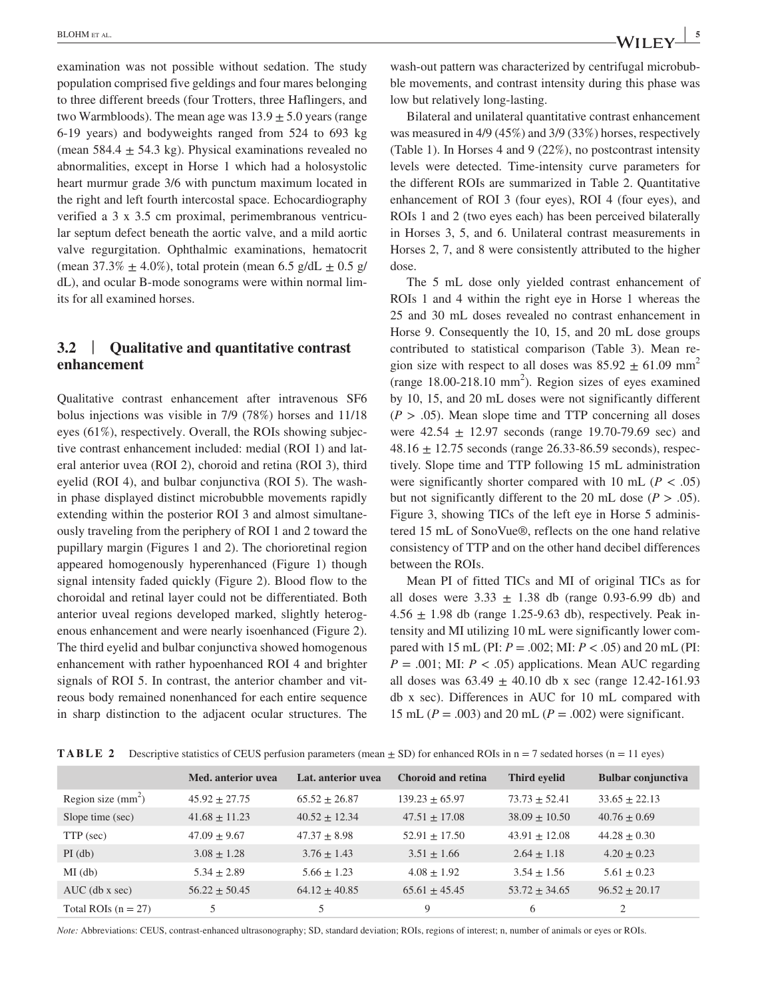examination was not possible without sedation. The study population comprised five geldings and four mares belonging to three different breeds (four Trotters, three Haflingers, and two Warmbloods). The mean age was  $13.9 \pm 5.0$  years (range 6-19 years) and bodyweights ranged from 524 to 693 kg (mean  $584.4 \pm 54.3$  kg). Physical examinations revealed no abnormalities, except in Horse 1 which had a holosystolic heart murmur grade 3/6 with punctum maximum located in the right and left fourth intercostal space. Echocardiography verified a 3 x 3.5 cm proximal, perimembranous ventricular septum defect beneath the aortic valve, and a mild aortic valve regurgitation. Ophthalmic examinations, hematocrit (mean  $37.3\% \pm 4.0\%$ ), total protein (mean 6.5 g/dL  $\pm$  0.5 g/ dL), and ocular B-mode sonograms were within normal limits for all examined horses.

# **3.2** | **Qualitative and quantitative contrast enhancement**

Qualitative contrast enhancement after intravenous SF6 bolus injections was visible in 7/9 (78%) horses and 11/18 eyes (61%), respectively. Overall, the ROIs showing subjective contrast enhancement included: medial (ROI 1) and lateral anterior uvea (ROI 2), choroid and retina (ROI 3), third eyelid (ROI 4), and bulbar conjunctiva (ROI 5). The washin phase displayed distinct microbubble movements rapidly extending within the posterior ROI 3 and almost simultaneously traveling from the periphery of ROI 1 and 2 toward the pupillary margin (Figures 1 and 2). The chorioretinal region appeared homogenously hyperenhanced (Figure 1) though signal intensity faded quickly (Figure 2). Blood flow to the choroidal and retinal layer could not be differentiated. Both anterior uveal regions developed marked, slightly heterogenous enhancement and were nearly isoenhanced (Figure 2). The third eyelid and bulbar conjunctiva showed homogenous enhancement with rather hypoenhanced ROI 4 and brighter signals of ROI 5. In contrast, the anterior chamber and vitreous body remained nonenhanced for each entire sequence in sharp distinction to the adjacent ocular structures. The wash-out pattern was characterized by centrifugal microbubble movements, and contrast intensity during this phase was low but relatively long-lasting.

Bilateral and unilateral quantitative contrast enhancement was measured in 4/9 (45%) and 3/9 (33%) horses, respectively (Table 1). In Horses 4 and 9 (22%), no postcontrast intensity levels were detected. Time-intensity curve parameters for the different ROIs are summarized in Table 2. Quantitative enhancement of ROI 3 (four eyes), ROI 4 (four eyes), and ROIs 1 and 2 (two eyes each) has been perceived bilaterally in Horses 3, 5, and 6. Unilateral contrast measurements in Horses 2, 7, and 8 were consistently attributed to the higher dose.

The 5 mL dose only yielded contrast enhancement of ROIs 1 and 4 within the right eye in Horse 1 whereas the 25 and 30 mL doses revealed no contrast enhancement in Horse 9. Consequently the 10, 15, and 20 mL dose groups contributed to statistical comparison (Table 3). Mean region size with respect to all doses was  $85.92 \pm 61.09$  mm<sup>2</sup> (range  $18.00 - 218.10$  mm<sup>2</sup>). Region sizes of eyes examined by 10, 15, and 20 mL doses were not significantly different  $(P > .05)$ . Mean slope time and TTP concerning all doses were  $42.54 \pm 12.97$  seconds (range 19.70-79.69 sec) and  $48.16 \pm 12.75$  seconds (range 26.33-86.59 seconds), respectively. Slope time and TTP following 15 mL administration were significantly shorter compared with 10 mL ( $P < .05$ ) but not significantly different to the 20 mL dose  $(P > .05)$ . Figure 3, showing TICs of the left eye in Horse 5 administered 15 mL of SonoVue®, reflects on the one hand relative consistency of TTP and on the other hand decibel differences between the ROIs.

Mean PI of fitted TICs and MI of original TICs as for all doses were  $3.33 \pm 1.38$  db (range 0.93-6.99 db) and  $4.56 \pm 1.98$  db (range 1.25-9.63 db), respectively. Peak intensity and MI utilizing 10 mL were significantly lower compared with 15 mL (PI: *P* = .002; MI: *P* < .05) and 20 mL (PI:  $P = .001$ ; MI:  $P < .05$ ) applications. Mean AUC regarding all doses was  $63.49 \pm 40.10$  db x sec (range 12.42-161.93) db x sec). Differences in AUC for 10 mL compared with 15 mL (*P* = .003) and 20 mL (*P* = .002) were significant.

|  |  |  | <b>TABLE 2</b> Descriptive statistics of CEUS perfusion parameters (mean $\pm$ SD) for enhanced ROIs in n = 7 sedated horses (n = 11 eyes) |  |
|--|--|--|--------------------------------------------------------------------------------------------------------------------------------------------|--|
|--|--|--|--------------------------------------------------------------------------------------------------------------------------------------------|--|

|                       | Med. anterior uvea | Lat. anterior uvea | <b>Choroid and retina</b> | Third eyelid      | <b>Bulbar conjunctiva</b> |
|-----------------------|--------------------|--------------------|---------------------------|-------------------|---------------------------|
| Region size $(mm2)$   | $45.92 \pm 27.75$  | $65.52 \pm 26.87$  | $139.23 \pm 65.97$        | $73.73 \pm 52.41$ | $33.65 \pm 22.13$         |
| Slope time (sec)      | $41.68 \pm 11.23$  | $40.52 + 12.34$    | $47.51 \pm 17.08$         | $38.09 \pm 10.50$ | $40.76 \pm 0.69$          |
| TTP (sec)             | $47.09 \pm 9.67$   | $47.37 + 8.98$     | $52.91 \pm 17.50$         | $43.91 \pm 12.08$ | $44.28 \pm 0.30$          |
| $PI$ (db)             | $3.08 \pm 1.28$    | $3.76 \pm 1.43$    | $3.51 \pm 1.66$           | $2.64 \pm 1.18$   | $4.20 \pm 0.23$           |
| $MI$ (db)             | $5.34 \pm 2.89$    | $5.66 \pm 1.23$    | $4.08 \pm 1.92$           | $3.54 \pm 1.56$   | $5.61 \pm 0.23$           |
| $AUC$ (db x sec)      | $56.22 \pm 50.45$  | $64.12 \pm 40.85$  | $65.61 \pm 45.45$         | $53.72 \pm 34.65$ | $96.52 \pm 20.17$         |
| Total ROIs $(n = 27)$ | 5                  | 5                  | 9                         | 6                 | 2                         |

*Note:* Abbreviations: CEUS, contrast-enhanced ultrasonography; SD, standard deviation; ROIs, regions of interest; n, number of animals or eyes or ROIs.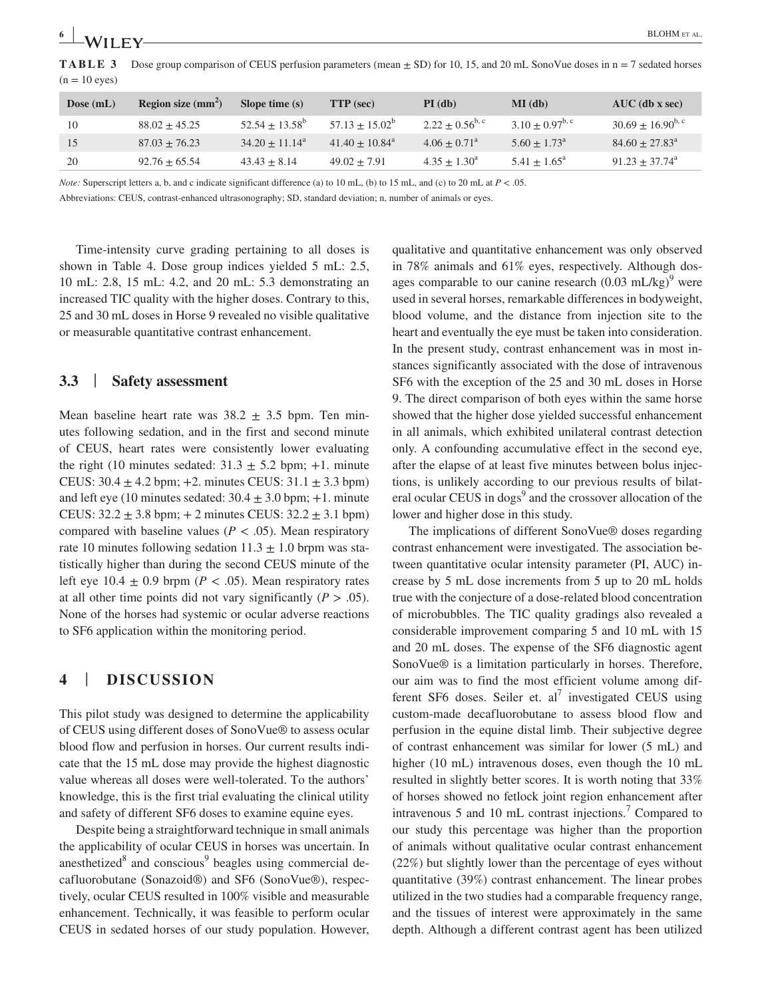**TABLE 3** Dose group comparison of CEUS perfusion parameters (mean  $\pm$  SD) for 10, 15, and 20 mL SonoVue doses in n = 7 sedated horses  $(n = 10$  eyes)

| Dose $(mL)$ | Region size $(mm2)$ | Slope time $(s)$  | <b>TTP</b> (sec)             | $PI$ (db)             | $MI$ (db)             | $AUC$ (db x sec)        |
|-------------|---------------------|-------------------|------------------------------|-----------------------|-----------------------|-------------------------|
| 10          | $88.02 \pm 45.25$   | $52.54 + 13.58^b$ | $57.13 + 15.02^b$            | $2.22 + 0.56^{b,c}$   | $3.10 + 0.97^{b,c}$   | $30.69 + 16.90^{b,c}$   |
| 15          | $87.03 \pm 76.23$   | $34.20 + 11.14^a$ | $41.40 + 10.84$ <sup>a</sup> | $4.06 + 0.71^a$       | $5.60 + 1.73^{\circ}$ | $84.60 + 27.83^{\circ}$ |
| 20          | $92.76 \pm 65.54$   | $43.43 \pm 8.14$  | $49.02 \pm 7.91$             | $4.35 + 1.30^{\circ}$ | $5.41 + 1.65^{\circ}$ | $91.23 + 37.74^{\circ}$ |
|             |                     |                   |                              |                       |                       |                         |

*Note:* Superscript letters a, b, and c indicate significant difference (a) to 10 mL, (b) to 15 mL, and (c) to 20 mL at  $P < .05$ .

Abbreviations: CEUS, contrast-enhanced ultrasonography; SD, standard deviation; n, number of animals or eyes.

Time-intensity curve grading pertaining to all doses is shown in Table 4. Dose group indices yielded 5 mL: 2.5, 10 mL: 2.8, 15 mL: 4.2, and 20 mL: 5.3 demonstrating an increased TIC quality with the higher doses. Contrary to this, 25 and 30 mL doses in Horse 9 revealed no visible qualitative or measurable quantitative contrast enhancement.

### **3.3** | **Safety assessment**

Mean baseline heart rate was  $38.2 \pm 3.5$  bpm. Ten minutes following sedation, and in the first and second minute of CEUS, heart rates were consistently lower evaluating the right (10 minutes sedated:  $31.3 \pm 5.2$  bpm; +1. minute CEUS:  $30.4 \pm 4.2$  bpm;  $+2$ . minutes CEUS:  $31.1 \pm 3.3$  bpm) and left eye (10 minutes sedated:  $30.4 \pm 3.0$  bpm;  $+1$ . minute CEUS:  $32.2 \pm 3.8$  bpm;  $+ 2$  minutes CEUS:  $32.2 \pm 3.1$  bpm) compared with baseline values ( $P < .05$ ). Mean respiratory rate 10 minutes following sedation  $11.3 \pm 1.0$  brpm was statistically higher than during the second CEUS minute of the left eye  $10.4 \pm 0.9$  brpm ( $P < .05$ ). Mean respiratory rates at all other time points did not vary significantly  $(P > .05)$ . None of the horses had systemic or ocular adverse reactions to SF6 application within the monitoring period.

#### **4** | **DISCUSSION**

This pilot study was designed to determine the applicability of CEUS using different doses of SonoVue® to assess ocular blood flow and perfusion in horses. Our current results indicate that the 15 mL dose may provide the highest diagnostic value whereas all doses were well-tolerated. To the authors' knowledge, this is the first trial evaluating the clinical utility and safety of different SF6 doses to examine equine eyes.

Despite being a straightforward technique in small animals the applicability of ocular CEUS in horses was uncertain. In anesthetized<sup>8</sup> and conscious<sup>9</sup> beagles using commercial decafluorobutane (Sonazoid®) and SF6 (SonoVue®), respectively, ocular CEUS resulted in 100% visible and measurable enhancement. Technically, it was feasible to perform ocular CEUS in sedated horses of our study population. However, qualitative and quantitative enhancement was only observed in 78% animals and 61% eyes, respectively. Although dosages comparable to our canine research  $(0.03 \text{ mL/kg})^9$  were used in several horses, remarkable differences in bodyweight, blood volume, and the distance from injection site to the heart and eventually the eye must be taken into consideration. In the present study, contrast enhancement was in most instances significantly associated with the dose of intravenous SF6 with the exception of the 25 and 30 mL doses in Horse 9. The direct comparison of both eyes within the same horse showed that the higher dose yielded successful enhancement in all animals, which exhibited unilateral contrast detection only. A confounding accumulative effect in the second eye, after the elapse of at least five minutes between bolus injections, is unlikely according to our previous results of bilateral ocular CEUS in dogs<sup>9</sup> and the crossover allocation of the lower and higher dose in this study.

The implications of different SonoVue® doses regarding contrast enhancement were investigated. The association between quantitative ocular intensity parameter (PI, AUC) increase by 5 mL dose increments from 5 up to 20 mL holds true with the conjecture of a dose-related blood concentration of microbubbles. The TIC quality gradings also revealed a considerable improvement comparing 5 and 10 mL with 15 and 20 mL doses. The expense of the SF6 diagnostic agent SonoVue® is a limitation particularly in horses. Therefore, our aim was to find the most efficient volume among different SF6 doses. Seiler et.  $al^7$  investigated CEUS using custom-made decafluorobutane to assess blood flow and perfusion in the equine distal limb. Their subjective degree of contrast enhancement was similar for lower (5 mL) and higher (10 mL) intravenous doses, even though the 10 mL resulted in slightly better scores. It is worth noting that 33% of horses showed no fetlock joint region enhancement after intravenous 5 and 10 mL contrast injections.<sup>7</sup> Compared to our study this percentage was higher than the proportion of animals without qualitative ocular contrast enhancement (22%) but slightly lower than the percentage of eyes without quantitative (39%) contrast enhancement. The linear probes utilized in the two studies had a comparable frequency range, and the tissues of interest were approximately in the same depth. Although a different contrast agent has been utilized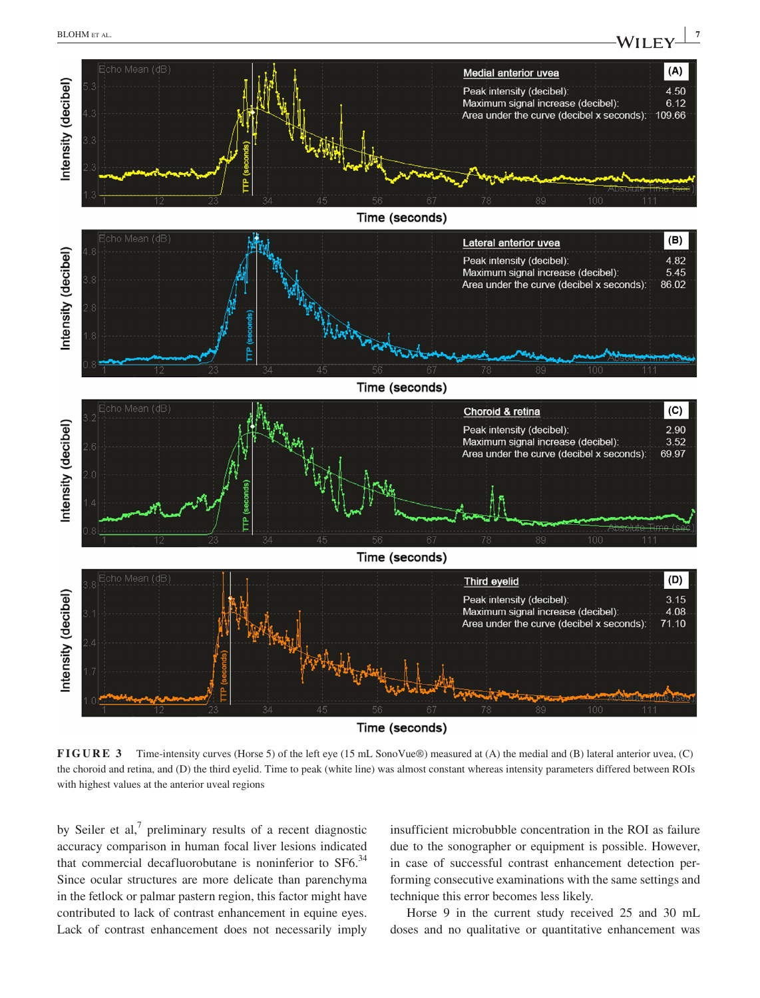# **BLOHM** et al. **WILEY**  $\frac{7}{4}$



**FIGURE 3** Time-intensity curves (Horse 5) of the left eye (15 mL SonoVue®) measured at (A) the medial and (B) lateral anterior uvea, (C) the choroid and retina, and (D) the third eyelid. Time to peak (white line) was almost constant whereas intensity parameters differed between ROIs with highest values at the anterior uveal regions

by Seiler et al, $<sup>7</sup>$  preliminary results of a recent diagnostic</sup> accuracy comparison in human focal liver lesions indicated that commercial decafluorobutane is noninferior to  $SF6<sup>34</sup>$ Since ocular structures are more delicate than parenchyma in the fetlock or palmar pastern region, this factor might have contributed to lack of contrast enhancement in equine eyes. Lack of contrast enhancement does not necessarily imply

insufficient microbubble concentration in the ROI as failure due to the sonographer or equipment is possible. However, in case of successful contrast enhancement detection performing consecutive examinations with the same settings and technique this error becomes less likely.

Horse 9 in the current study received 25 and 30 mL doses and no qualitative or quantitative enhancement was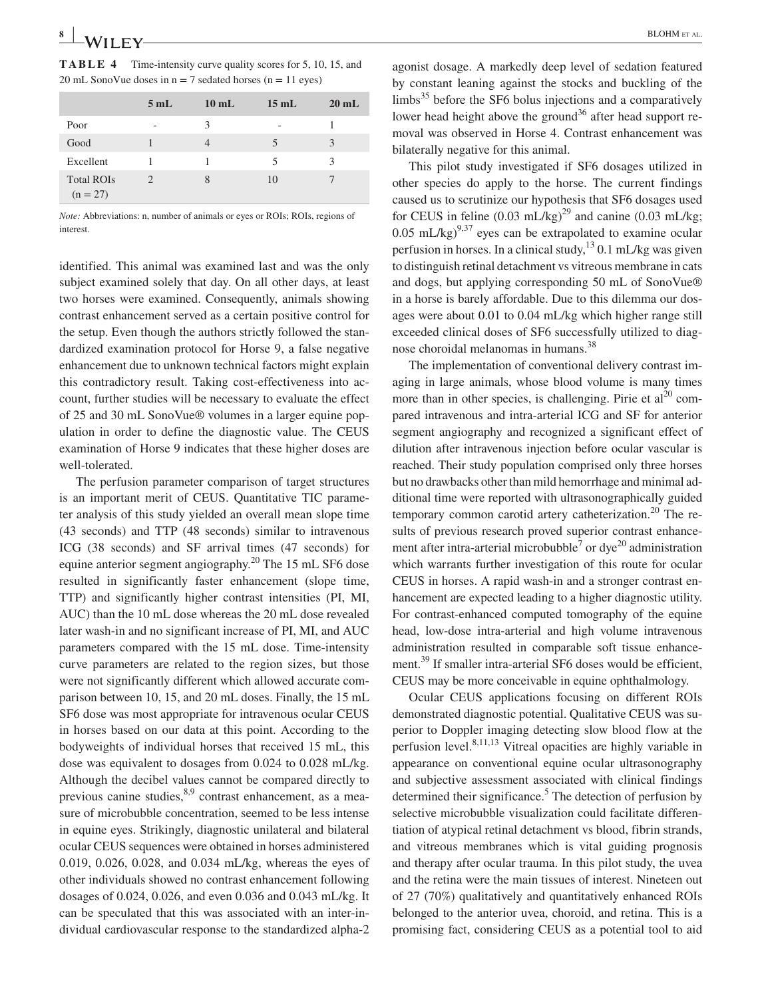**TABLE 4** Time-intensity curve quality scores for 5, 10, 15, and 20 mL SonoVue doses in  $n = 7$  sedated horses ( $n = 11$  eyes)

|                                 | 5mL | $10 \text{ mL}$ | $15 \text{ mL}$ | $20 \text{ mL}$ |
|---------------------------------|-----|-----------------|-----------------|-----------------|
| Poor                            | ٠   | 3               | ٠               |                 |
| Good                            |     | 4               | 5               | 3               |
| Excellent                       |     |                 | 5               | 3               |
| <b>Total ROIs</b><br>$(n = 27)$ |     | 8               | 10              |                 |

*Note:* Abbreviations: n, number of animals or eyes or ROIs; ROIs, regions of interest.

identified. This animal was examined last and was the only subject examined solely that day. On all other days, at least two horses were examined. Consequently, animals showing contrast enhancement served as a certain positive control for the setup. Even though the authors strictly followed the standardized examination protocol for Horse 9, a false negative enhancement due to unknown technical factors might explain this contradictory result. Taking cost-effectiveness into account, further studies will be necessary to evaluate the effect of 25 and 30 mL SonoVue® volumes in a larger equine population in order to define the diagnostic value. The CEUS examination of Horse 9 indicates that these higher doses are well-tolerated.

The perfusion parameter comparison of target structures is an important merit of CEUS. Quantitative TIC parameter analysis of this study yielded an overall mean slope time (43 seconds) and TTP (48 seconds) similar to intravenous ICG (38 seconds) and SF arrival times (47 seconds) for equine anterior segment angiography.<sup>20</sup> The 15 mL SF6 dose resulted in significantly faster enhancement (slope time, TTP) and significantly higher contrast intensities (PI, MI, AUC) than the 10 mL dose whereas the 20 mL dose revealed later wash-in and no significant increase of PI, MI, and AUC parameters compared with the 15 mL dose. Time-intensity curve parameters are related to the region sizes, but those were not significantly different which allowed accurate comparison between 10, 15, and 20 mL doses. Finally, the 15 mL SF6 dose was most appropriate for intravenous ocular CEUS in horses based on our data at this point. According to the bodyweights of individual horses that received 15 mL, this dose was equivalent to dosages from 0.024 to 0.028 mL/kg. Although the decibel values cannot be compared directly to previous canine studies, $8.9$  contrast enhancement, as a measure of microbubble concentration, seemed to be less intense in equine eyes. Strikingly, diagnostic unilateral and bilateral ocular CEUS sequences were obtained in horses administered 0.019, 0.026, 0.028, and 0.034 mL/kg, whereas the eyes of other individuals showed no contrast enhancement following dosages of 0.024, 0.026, and even 0.036 and 0.043 mL/kg. It can be speculated that this was associated with an inter-individual cardiovascular response to the standardized alpha-2

agonist dosage. A markedly deep level of sedation featured by constant leaning against the stocks and buckling of the  $\lim_{s \to 5}$  before the SF6 bolus injections and a comparatively lower head height above the ground<sup>36</sup> after head support removal was observed in Horse 4. Contrast enhancement was bilaterally negative for this animal.

This pilot study investigated if SF6 dosages utilized in other species do apply to the horse. The current findings caused us to scrutinize our hypothesis that SF6 dosages used for CEUS in feline  $(0.03 \text{ mL/kg})^{29}$  and canine  $(0.03 \text{ mL/kg})$ ; 0.05 mL/kg)<sup>9,37</sup> eyes can be extrapolated to examine ocular perfusion in horses. In a clinical study,  $13$  0.1 mL/kg was given to distinguish retinal detachment vs vitreous membrane in cats and dogs, but applying corresponding 50 mL of SonoVue® in a horse is barely affordable. Due to this dilemma our dosages were about 0.01 to 0.04 mL/kg which higher range still exceeded clinical doses of SF6 successfully utilized to diagnose choroidal melanomas in humans.38

The implementation of conventional delivery contrast imaging in large animals, whose blood volume is many times more than in other species, is challenging. Pirie et  $al^{20}$  compared intravenous and intra-arterial ICG and SF for anterior segment angiography and recognized a significant effect of dilution after intravenous injection before ocular vascular is reached. Their study population comprised only three horses but no drawbacks other than mild hemorrhage and minimal additional time were reported with ultrasonographically guided temporary common carotid artery catheterization.<sup>20</sup> The results of previous research proved superior contrast enhancement after intra-arterial microbubble<sup>7</sup> or  $dye^{20}$  administration which warrants further investigation of this route for ocular CEUS in horses. A rapid wash-in and a stronger contrast enhancement are expected leading to a higher diagnostic utility. For contrast-enhanced computed tomography of the equine head, low-dose intra-arterial and high volume intravenous administration resulted in comparable soft tissue enhancement.<sup>39</sup> If smaller intra-arterial SF6 doses would be efficient, CEUS may be more conceivable in equine ophthalmology.

Ocular CEUS applications focusing on different ROIs demonstrated diagnostic potential. Qualitative CEUS was superior to Doppler imaging detecting slow blood flow at the perfusion level. $8,11,13$  Vitreal opacities are highly variable in appearance on conventional equine ocular ultrasonography and subjective assessment associated with clinical findings determined their significance.<sup>5</sup> The detection of perfusion by selective microbubble visualization could facilitate differentiation of atypical retinal detachment vs blood, fibrin strands, and vitreous membranes which is vital guiding prognosis and therapy after ocular trauma. In this pilot study, the uvea and the retina were the main tissues of interest. Nineteen out of 27 (70%) qualitatively and quantitatively enhanced ROIs belonged to the anterior uvea, choroid, and retina. This is a promising fact, considering CEUS as a potential tool to aid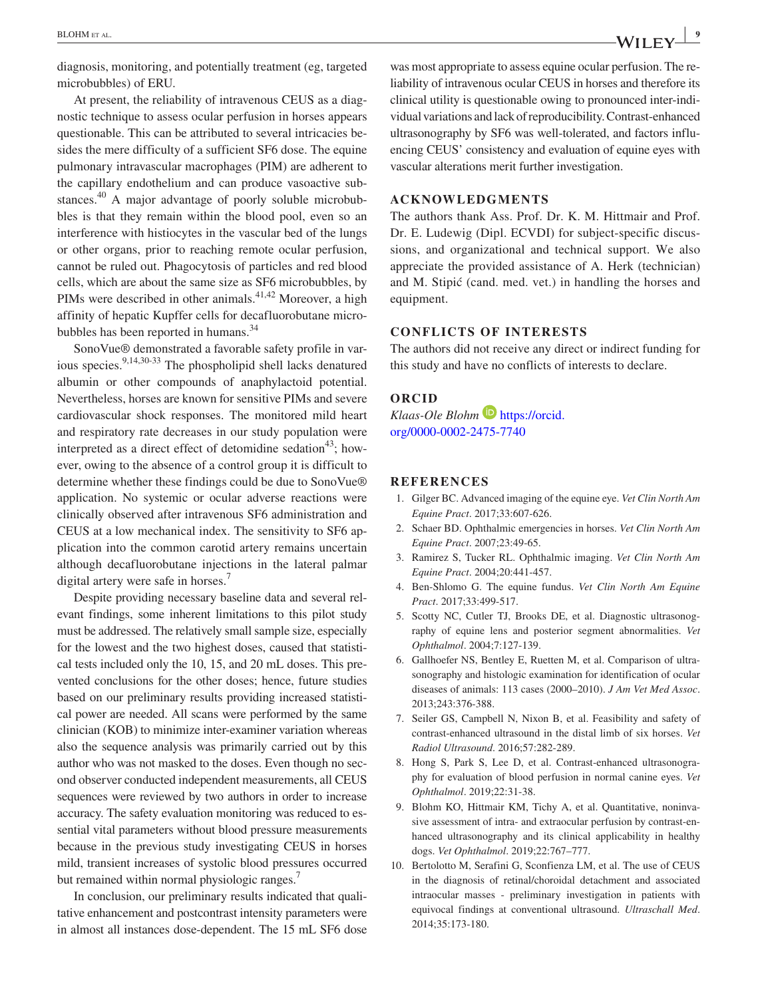diagnosis, monitoring, and potentially treatment (eg, targeted microbubbles) of ERU.

At present, the reliability of intravenous CEUS as a diagnostic technique to assess ocular perfusion in horses appears questionable. This can be attributed to several intricacies besides the mere difficulty of a sufficient SF6 dose. The equine pulmonary intravascular macrophages (PIM) are adherent to the capillary endothelium and can produce vasoactive substances.<sup>40</sup> A major advantage of poorly soluble microbubbles is that they remain within the blood pool, even so an interference with histiocytes in the vascular bed of the lungs or other organs, prior to reaching remote ocular perfusion, cannot be ruled out. Phagocytosis of particles and red blood cells, which are about the same size as SF6 microbubbles, by PIMs were described in other animals. $41,42$  Moreover, a high affinity of hepatic Kupffer cells for decafluorobutane microbubbles has been reported in humans.<sup>34</sup>

SonoVue® demonstrated a favorable safety profile in various species.<sup>9,14,30-33</sup> The phospholipid shell lacks denatured albumin or other compounds of anaphylactoid potential. Nevertheless, horses are known for sensitive PIMs and severe cardiovascular shock responses. The monitored mild heart and respiratory rate decreases in our study population were interpreted as a direct effect of detomidine sedation<sup>43</sup>; however, owing to the absence of a control group it is difficult to determine whether these findings could be due to SonoVue® application. No systemic or ocular adverse reactions were clinically observed after intravenous SF6 administration and CEUS at a low mechanical index. The sensitivity to SF6 application into the common carotid artery remains uncertain although decafluorobutane injections in the lateral palmar digital artery were safe in horses.<sup>7</sup>

Despite providing necessary baseline data and several relevant findings, some inherent limitations to this pilot study must be addressed. The relatively small sample size, especially for the lowest and the two highest doses, caused that statistical tests included only the 10, 15, and 20 mL doses. This prevented conclusions for the other doses; hence, future studies based on our preliminary results providing increased statistical power are needed. All scans were performed by the same clinician (KOB) to minimize inter-examiner variation whereas also the sequence analysis was primarily carried out by this author who was not masked to the doses. Even though no second observer conducted independent measurements, all CEUS sequences were reviewed by two authors in order to increase accuracy. The safety evaluation monitoring was reduced to essential vital parameters without blood pressure measurements because in the previous study investigating CEUS in horses mild, transient increases of systolic blood pressures occurred but remained within normal physiologic ranges.<sup>7</sup>

In conclusion, our preliminary results indicated that qualitative enhancement and postcontrast intensity parameters were in almost all instances dose-dependent. The 15 mL SF6 dose was most appropriate to assess equine ocular perfusion. The reliability of intravenous ocular CEUS in horses and therefore its clinical utility is questionable owing to pronounced inter-individual variations and lack of reproducibility. Contrast-enhanced ultrasonography by SF6 was well-tolerated, and factors influencing CEUS' consistency and evaluation of equine eyes with vascular alterations merit further investigation.

#### **ACKNOWLEDGMENTS**

The authors thank Ass. Prof. Dr. K. M. Hittmair and Prof. Dr. E. Ludewig (Dipl. ECVDI) for subject-specific discussions, and organizational and technical support. We also appreciate the provided assistance of A. Herk (technician) and M. Stipić (cand. med. vet.) in handling the horses and equipment.

#### **CONFLICTS OF INTERESTS**

The authors did not receive any direct or indirect funding for this study and have no conflicts of interests to declare.

#### **ORCID**

*Klaas-Ole Blohm* **[https://orcid.](https://orcid.org/0000-0002-2475-7740)** [org/0000-0002-2475-7740](https://orcid.org/0000-0002-2475-7740)

#### **REFERENCES**

- 1. Gilger BC. Advanced imaging of the equine eye. *Vet Clin North Am Equine Pract*. 2017;33:607-626.
- 2. Schaer BD. Ophthalmic emergencies in horses. *Vet Clin North Am Equine Pract*. 2007;23:49-65.
- 3. Ramirez S, Tucker RL. Ophthalmic imaging. *Vet Clin North Am Equine Pract*. 2004;20:441-457.
- 4. Ben-Shlomo G. The equine fundus. *Vet Clin North Am Equine Pract*. 2017;33:499-517.
- 5. Scotty NC, Cutler TJ, Brooks DE, et al. Diagnostic ultrasonography of equine lens and posterior segment abnormalities. *Vet Ophthalmol*. 2004;7:127-139.
- 6. Gallhoefer NS, Bentley E, Ruetten M, et al. Comparison of ultrasonography and histologic examination for identification of ocular diseases of animals: 113 cases (2000–2010). *J Am Vet Med Assoc*. 2013;243:376-388.
- 7. Seiler GS, Campbell N, Nixon B, et al. Feasibility and safety of contrast-enhanced ultrasound in the distal limb of six horses. *Vet Radiol Ultrasound*. 2016;57:282-289.
- 8. Hong S, Park S, Lee D, et al. Contrast-enhanced ultrasonography for evaluation of blood perfusion in normal canine eyes. *Vet Ophthalmol*. 2019;22:31-38.
- 9. Blohm KO, Hittmair KM, Tichy A, et al. Quantitative, noninvasive assessment of intra- and extraocular perfusion by contrast-enhanced ultrasonography and its clinical applicability in healthy dogs. *Vet Ophthalmol*. 2019;22:767–777.
- 10. Bertolotto M, Serafini G, Sconfienza LM, et al. The use of CEUS in the diagnosis of retinal/choroidal detachment and associated intraocular masses - preliminary investigation in patients with equivocal findings at conventional ultrasound. *Ultraschall Med*. 2014;35:173-180.